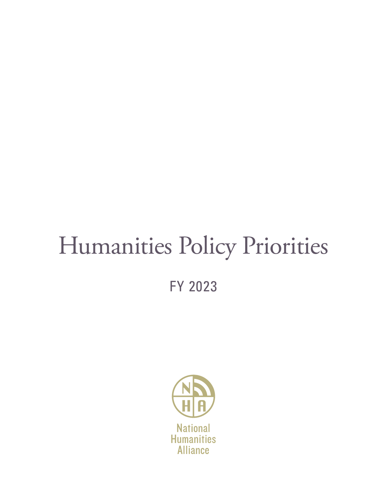# Humanities Policy Priorities

FY 2023

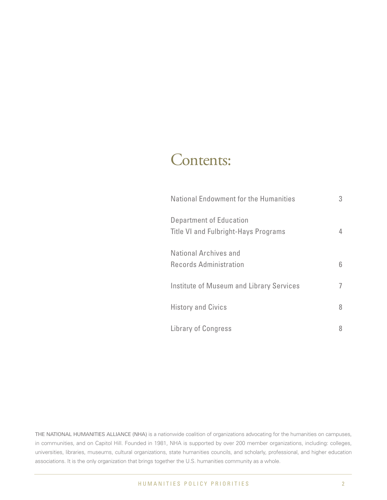# Contents:

| <b>National Endowment for the Humanities</b>                    | 3 |
|-----------------------------------------------------------------|---|
| Department of Education<br>Title VI and Fulbright-Hays Programs | 4 |
| National Archives and<br>Records Administration                 | 6 |
| <b>Institute of Museum and Library Services</b>                 |   |
| <b>History and Civics</b>                                       | 8 |
| <b>Library of Congress</b>                                      | 8 |

THE NATIONAL HUMANITIES ALLIANCE (NHA) is a nationwide coalition of organizations advocating for the humanities on campuses, in communities, and on Capitol Hill. Founded in 1981, NHA is supported by over 200 member organizations, including: colleges, universities, libraries, museums, cultural organizations, state humanities councils, and scholarly, professional, and higher education associations. It is the only organization that brings together the U.S. humanities community as a whole.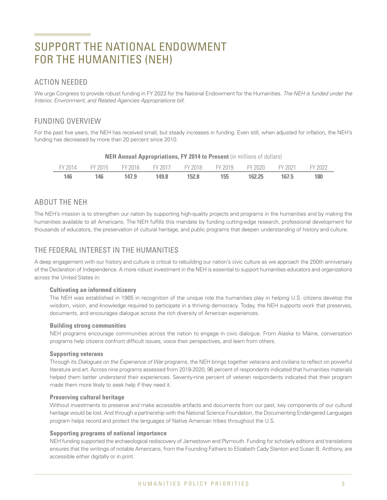# SUPPORT THE NATIONAL ENDOWMENT FOR THE HUMANITIES (NEH)

### ACTION NEEDED

We urge Congress to provide robust funding in FY 2023 for the National Endowment for the Humanities. The NEH is funded under the Interior, Environment, and Related Agencies Appropriations bill.

# FUNDING OVERVIEW

For the past five years, the NEH has received small, but steady increases in funding. Even still, when adjusted for inflation, the NEH's funding has decreased by more than 20 percent since 2010.

|  | FY 2014 FY 2015 FY 2016 FY 2017 FY 2018 FY 2019 FY 2020 FY 2021 FY 2022 |  |  |  |  |  |  |  |  |  |
|--|-------------------------------------------------------------------------|--|--|--|--|--|--|--|--|--|
|  | 146 146 147.9 149.8 152.8 155 162.25 167.5 180                          |  |  |  |  |  |  |  |  |  |

#### **NEH Annual Appropriations, FY 2014 to Present** (in millions of dollars)

# ABOUT THE NEH

The NEH's mission is to strengthen our nation by supporting high-quality projects and programs in the humanities and by making the humanities available to all Americans. The NEH fulfills this mandate by funding cutting-edge research, professional development for thousands of educators, the preservation of cultural heritage, and public programs that deepen understanding of history and culture.

# THE FEDERAL INTEREST IN THE HUMANITIES

A deep engagement with our history and culture is critical to rebuilding our nation's civic culture as we approach the 250th anniversary of the Declaration of Independence. A more robust investment in the NEH is essential to support humanities educators and organizations across the United States in:

#### **Cultivating an informed citizenry**

The NEH was established in 1965 in recognition of the unique role the humanities play in helping U.S. citizens develop the wisdom, vision, and knowledge required to participate in a thriving democracy. Today, the NEH supports work that preserves, documents, and encourages dialogue across the rich diversity of American experiences.

#### **Building strong communities**

NEH programs encourage communities across the nation to engage in civic dialogue. From Alaska to Maine, conversation programs help citizens confront difficult issues, voice their perspectives, and learn from others.

#### **Supporting veterans**

Through its Dialogues on the Experience of War programs, the NEH brings together veterans and civilians to reflect on powerful literature and art. Across nine programs assessed from 2018-2020, 96 percent of respondents indicated that humanities materials helped them better understand their experiences. Seventy-nine percent of veteran respondents indicated that their program made them more likely to seek help if they need it.

#### **Preserving cultural heritage**

Without investments to preserve and make accessible artifacts and documents from our past, key components of our cultural heritage would be lost. And through a partnership with the National Science Foundation, the Documenting Endangered Languages program helps record and protect the languages of Native American tribes throughout the U.S.

#### **Supporting programs of national importance**

NEH funding supported the archaeological rediscovery of Jamestown and Plymouth. Funding for scholarly editions and translations ensures that the writings of notable Americans, from the Founding Fathers to Elizabeth Cady Stanton and Susan B. Anthony, are accessible either digitally or in print.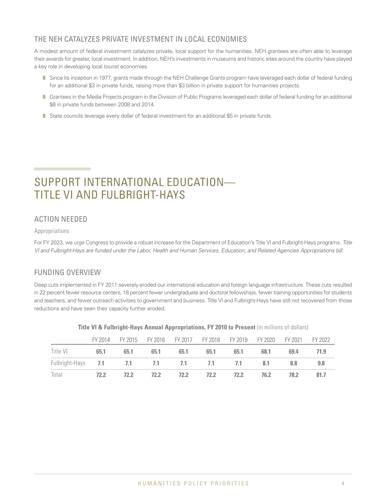# THE NEH CATALYZES PRIVATE INVESTMENT IN LOCAL ECONOMIES

A modest amount of federal investment catalyzes private, local support for the humanities. NEH grantees are often able to leverage their awards for greater, local investment. In addition, NEH's investments in museums and historic sites around the country have played a key role in developing local tourist economies.

- Since its inception in 1977, grants made through the NEH Challenge Grants program have leveraged each dollar of federal funding for an additional \$3 in private funds, raising more than \$3 billion in private support for humanities projects.
- Grantees in the Media Projects program in the Division of Public Programs leveraged each dollar of federal funding for an additional \$8 in private funds between 2008 and 2014.
- State councils leverage every dollar of federal investment for an additional \$5 in private funds.

# SUPPORT INTERNATIONAL EDUCATION— TITLE VI AND FULBRIGHT-HAYS

# ACTION NEEDED

#### Appropriations

For FY 2023, we urge Congress to provide a robust increase for the Department of Education's Title VI and Fulbright-Hays programs. Title VI and Fulbright-Hays are funded under the Labor, Health and Human Services, Education, and Related Agencies Appropriations bill.

# FUNDING OVERVIEW

Deep cuts implemented in FY 2011 severely eroded our international education and foreign language infrastructure. These cuts resulted in 22 percent fewer resource centers, 18 percent fewer undergraduate and doctoral fellowships, fewer training opportunities for students and teachers, and fewer outreach activities to government and business. Title VI and Fulbright-Hays have still not recovered from those reductions and have seen their capacity further eroded.

|                                                   |      |      |             | FY 2014 FY 2015 FY 2016 FY 2017 FY 2018 FY 2019 FY 2020 FY 2021 FY 2022 |           |      |      |       |      |
|---------------------------------------------------|------|------|-------------|-------------------------------------------------------------------------|-----------|------|------|-------|------|
| Title VI                                          | 65.1 |      | 65.1 65.1   | 65.1                                                                    | 65.1      | 65.1 | 68.1 | 69.4  | 71.9 |
| Fulbright-Hays <b>7.1 7.1 7.1 7.1 7.1 7.1 8.1</b> |      |      |             |                                                                         |           |      |      | - 8.8 | 9.8  |
| Total                                             | 72.2 | 72.2 | <b>72.2</b> |                                                                         | 72.2 72.2 | 72.2 | 76.2 | 78.2  | 81.7 |

#### **Title VI & Fulbright-Hays Annual Appropriations, FY 2010 to Present** (in millions of dollars)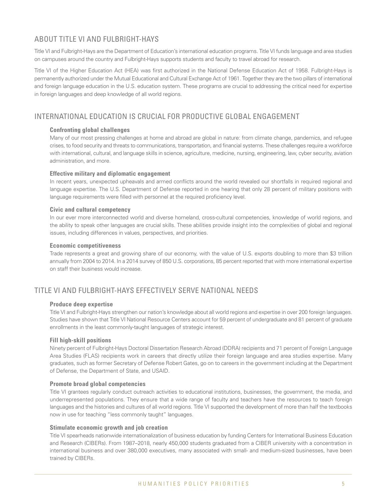# ABOUT TITLE VLAND FULBRIGHT-HAYS

Title VI and Fulbright-Hays are the Department of Education's international education programs. Title VI funds language and area studies on campuses around the country and Fulbright-Hays supports students and faculty to travel abroad for research.

Title VI of the Higher Education Act (HEA) was first authorized in the National Defense Education Act of 1958. Fulbright-Hays is permanently authorized under the Mutual Educational and Cultural Exchange Act of 1961. Together they are the two pillars of international and foreign language education in the U.S. education system. These programs are crucial to addressing the critical need for expertise in foreign languages and deep knowledge of all world regions.

# INTERNATIONAL EDUCATION IS CRUCIAL FOR PRODUCTIVE GLOBAL ENGAGEMENT

#### **Confronting global challenges**

Many of our most pressing challenges at home and abroad are global in nature: from climate change, pandemics, and refugee crises, to food security and threats to communications, transportation, and financial systems. These challenges require a workforce with international, cultural, and language skills in science, agriculture, medicine, nursing, engineering, law, cyber security, aviation administration, and more.

#### **Effective military and diplomatic engagement**

In recent years, unexpected upheavals and armed conflicts around the world revealed our shortfalls in required regional and language expertise. The U.S. Department of Defense reported in one hearing that only 28 percent of military positions with language requirements were filled with personnel at the required proficiency level.

#### **Civic and cultural competency**

In our ever more interconnected world and diverse homeland, cross-cultural competencies, knowledge of world regions, and the ability to speak other languages are crucial skills. These abilities provide insight into the complexities of global and regional issues, including differences in values, perspectives, and priorities.

#### **Economic competitiveness**

Trade represents a great and growing share of our economy, with the value of U.S. exports doubling to more than \$3 trillion annually from 2004 to 2014. In a 2014 survey of 850 U.S. corporations, 85 percent reported that with more international expertise on staff their business would increase.

# TITLE VI AND FULBRIGHT-HAYS EFFECTIVELY SERVE NATIONAL NEEDS

#### **Produce deep expertise**

Title VI and Fulbright-Hays strengthen our nation's knowledge about all world regions and expertise in over 200 foreign languages. Studies have shown that Title VI National Resource Centers account for 59 percent of undergraduate and 81 percent of graduate enrollments in the least commonly-taught languages of strategic interest.

#### **Fill high-skill positions**

Ninety percent of Fulbright-Hays Doctoral Dissertation Research Abroad (DDRA) recipients and 71 percent of Foreign Language Area Studies (FLAS) recipients work in careers that directly utilize their foreign language and area studies expertise. Many graduates, such as former Secretary of Defense Robert Gates, go on to careers in the government including at the Department of Defense, the Department of State, and USAID.

#### **Promote broad global competencies**

Title VI grantees regularly conduct outreach activities to educational institutions, businesses, the government, the media, and underrepresented populations. They ensure that a wide range of faculty and teachers have the resources to teach foreign languages and the histories and cultures of all world regions. Title VI supported the development of more than half the textbooks now in use for teaching "less commonly taught" languages.

#### **Stimulate economic growth and job creation**

Title VI spearheads nationwide internationalization of business education by funding Centers for International Business Education and Research (CIBERs). From 1987–2018, nearly 450,000 students graduated from a CIBER university with a concentration in international business and over 380,000 executives, many associated with small- and medium-sized businesses, have been trained by CIBERs.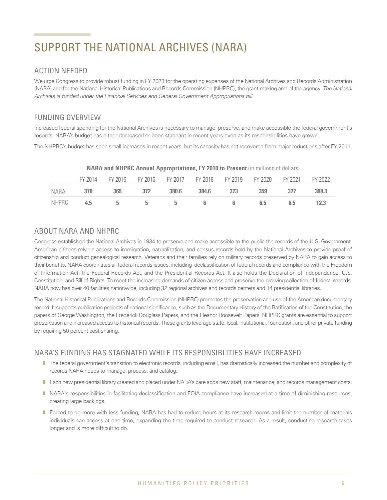# SUPPORT THE NATIONAL ARCHIVES (NARA)

# ACTION NEEDED

We urge Congress to provide robust funding in FY 2023 for the operating expenses of the National Archives and Records Administration (NARA) and for the National Historical Publications and Records Commission (NHPRC), the grant-making arm of the agency. The National Archives is funded under the Financial Services and General Government Appropriations bill.

# FUNDING OVERVIEW

Increased federal spending for the National Archives is necessary to manage, preserve, and make accessible the federal government's records. NARA's budget has either decreased or been stagnant in recent years even as its responsibilities have grown.

The NHPRC's budget has seen small increases in recent years, but its capacity has not recovered from major reductions after FY 2011.

|  | FY 2014 FY 2015 FY 2016 FY 2017 FY 2018 FY 2019 FY 2020 FY 2021 FY 2022 |  |  |  |      |
|--|-------------------------------------------------------------------------|--|--|--|------|
|  | NARA 370 365 372 380.6 384.6 373 359 377 388.3                          |  |  |  |      |
|  | NHPRC 4.5 5 5 5 6 6 6.5 6.5                                             |  |  |  | 12.3 |

#### **NARA and NHPRC Annual Appropriations, FY 2010 to Present** (in millions of dollars)

### ABOUT NARA AND NHPRC

Congress established the National Archives in 1934 to preserve and make accessible to the public the records of the U.S. Government. American citizens rely on access to immigration, naturalization, and census records held by the National Archives to provide proof of citizenship and conduct genealogical research. Veterans and their families rely on military records preserved by NARA to gain access to their benefits. NARA coordinates all federal records issues, including declassification of federal records and compliance with the Freedom of Information Act, the Federal Records Act, and the Presidential Records Act. It also holds the Declaration of Independence, U.S. Constitution, and Bill of Rights. To meet the increasing demands of citizen access and preserve the growing collection of federal records, NARA now has over 40 facilities nationwide, including 32 regional archives and records centers and 14 presidential libraries.

The National Historical Publications and Records Commission (NHPRC) promotes the preservation and use of the American documentary record. It supports publication projects of national significance, such as the Documentary History of the Ratification of the Constitution, the papers of George Washington, the Frederick Douglass Papers, and the Eleanor Roosevelt Papers. NHPRC grants are essential to support preservation and increased access to historical records. These grants leverage state, local, institutional, foundation, and other private funding by requiring 50 percent cost sharing.

# NARA'S FUNDING HAS STAGNATED WHILE ITS RESPONSIBLITIES HAVE INCREASED

- $\blacksquare$  The federal government's transition to electronic records, including email, has dramatically increased the number and complexity of records NARA needs to manage, process, and catalog.
- Each new presidential library created and placed under NARA's care adds new staff, maintenance, and records management costs.
- **NARA's responsibilities in facilitating declassification and FOIA compliance have increased at a time of diminishing resources,** creating large backlogs.
- Forced to do more with less funding, NARA has had to reduce hours at its research rooms and limit the number of materials individuals can access at one time, expanding the time required to conduct research. As a result, conducting research takes longer and is more difficult to do.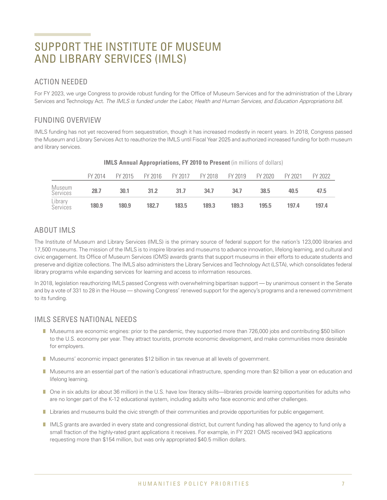# SUPPORT THE INSTITUTE OF MUSEUM AND LIBRARY SERVICES (IMLS)

### ACTION NEEDED

For FY 2023, we urge Congress to provide robust funding for the Office of Museum Services and for the administration of the Library Services and Technology Act. The IMLS is funded under the Labor, Health and Human Services, and Education Appropriations bill.

# FUNDING OVERVIEW

IMLS funding has not yet recovered from sequestration, though it has increased modestly in recent years. In 2018, Congress passed the Museum and Library Services Act to reauthorize the IMLS until Fiscal Year 2025 and authorized increased funding for both museum and library services.

|                     | FY 2014 | FY 2015 FY 2016 FY 2017 FY 2018 FY 2019 FY 2020 |       |       |       |       |       | FY 2021 | FY 2022 |
|---------------------|---------|-------------------------------------------------|-------|-------|-------|-------|-------|---------|---------|
| Museum<br>Services  | 28.7    | 30.1                                            | 31.2  | 31.7  | 34.7  | 34.7  | 38.5  | 40.5    | 47.5    |
| Library<br>Services | 180.9   | 180.9                                           | 182.7 | 183.5 | 189.3 | 189.3 | 195.5 | 197.4   | 197.4   |

#### **IMLS Annual Appropriations, FY 2010 to Present** (in millions of dollars)

# ABOUT IMLS

The Institute of Museum and Library Services (IMLS) is the primary source of federal support for the nation's 123,000 libraries and 17,500 museums. The mission of the IMLS is to inspire libraries and museums to advance innovation, lifelong learning, and cultural and civic engagement. Its Office of Museum Services (OMS) awards grants that support museums in their efforts to educate students and preserve and digitize collections. The IMLS also administers the Library Services and Technology Act (LSTA), which consolidates federal library programs while expanding services for learning and access to information resources.

In 2018, legislation reauthorizing IMLS passed Congress with overwhelming bipartisan support — by unanimous consent in the Senate and by a vote of 331 to 28 in the House — showing Congress' renewed support for the agency's programs and a renewed commitment to its funding.

### IMLS SERVES NATIONAL NEEDS

- n Museums are economic engines: prior to the pandemic, they supported more than 726,000 jobs and contributing \$50 billion to the U.S. economy per year. They attract tourists, promote economic development, and make communities more desirable for employers.
- Museums' economic impact generates \$12 billion in tax revenue at all levels of government.
- **n** Museums are an essential part of the nation's educational infrastructure, spending more than \$2 billion a year on education and lifelong learning.
- One in six adults (or about 36 million) in the U.S. have low literacy skills—libraries provide learning opportunities for adults who are no longer part of the K-12 educational system, including adults who face economic and other challenges.
- **I** Libraries and museums build the civic strength of their communities and provide opportunities for public engagement.
- IMLS grants are awarded in every state and congressional district, but current funding has allowed the agency to fund only a small fraction of the highly-rated grant applications it receives. For example, in FY 2021 OMS received 943 applications requesting more than \$154 million, but was only appropriated \$40.5 million dollars.